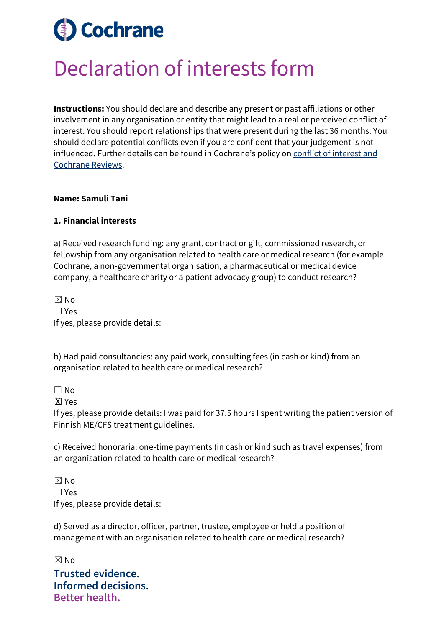# **Cochrane**

## Declaration of interests form

**Instructions:** You should declare and describe any present or past affiliations or other involvement in any organisation or entity that might lead to a real or perceived conflict of interest. You should report relationships that were present during the last 36 months. You should declare potential conflicts even if you are confident that your judgement is not influenced. Further details can be found in Cochrane's policy on [conflict of interest and](https://documentation.cochrane.org/display/EPPR/Policy%3A+conflicts+of+interest+and+Cochrane+Reviews)  [Cochrane Reviews.](https://documentation.cochrane.org/display/EPPR/Policy%3A+conflicts+of+interest+and+Cochrane+Reviews)

#### **Name: Samuli Tani**

#### **1. Financial interests**

a) Received research funding: any grant, contract or gift, commissioned research, or fellowship from any organisation related to health care or medical research (for example Cochrane, a non-governmental organisation, a pharmaceutical or medical device company, a healthcare charity or a patient advocacy group) to conduct research?

 $\boxtimes$  No ☐ Yes If yes, please provide details:

b) Had paid consultancies: any paid work, consulting fees (in cash or kind) from an organisation related to health care or medical research?

 $\Box$  No

**X** Yes

If yes, please provide details: I was paid for 37.5 hours I spent writing the patient version of Finnish ME/CFS treatment guidelines.

c) Received honoraria: one-time payments (in cash or kind such as travel expenses) from an organisation related to health care or medical research?

 $\boxtimes$  No ☐ Yes If yes, please provide details:

d) Served as a director, officer, partner, trustee, employee or held a position of management with an organisation related to health care or medical research?

**Trusted evidence. Informed decisions. Better health.**  $\boxtimes$  No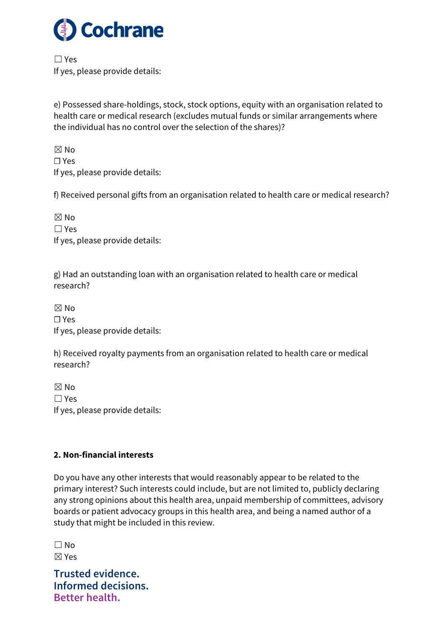

☐ Yes If yes, please provide details:

e) Possessed share-holdings, stock, stock options, equity with an organisation related to health care or medical research (excludes mutual funds or similar arrangements where the individual has no control over the selection of the shares)?

 $\boxtimes$  No ☐ Yes If yes, please provide details:

f) Received personal gifts from an organisation related to health care or medical research?

 $\boxtimes$  No ☐ Yes If yes, please provide details:

g) Had an outstanding loan with an organisation related to health care or medical research?

☒ No ☐ Yes If yes, please provide details:

h) Received royalty payments from an organisation related to health care or medical research?

 $\boxtimes$  No ☐ Yes If yes, please provide details:

### **2. Non-financial interests**

Do you have any other interests that would reasonably appear to be related to the primary interest? Such interests could include, but are not limited to, publicly declaring any strong opinions about this health area, unpaid membership of committees, advisory boards or patient advocacy groups in this health area, and being a named author of a study that might be included in this review.

 $\Box$  No ☒ Yes

**Trusted evidence. Informed decisions. Better health.**